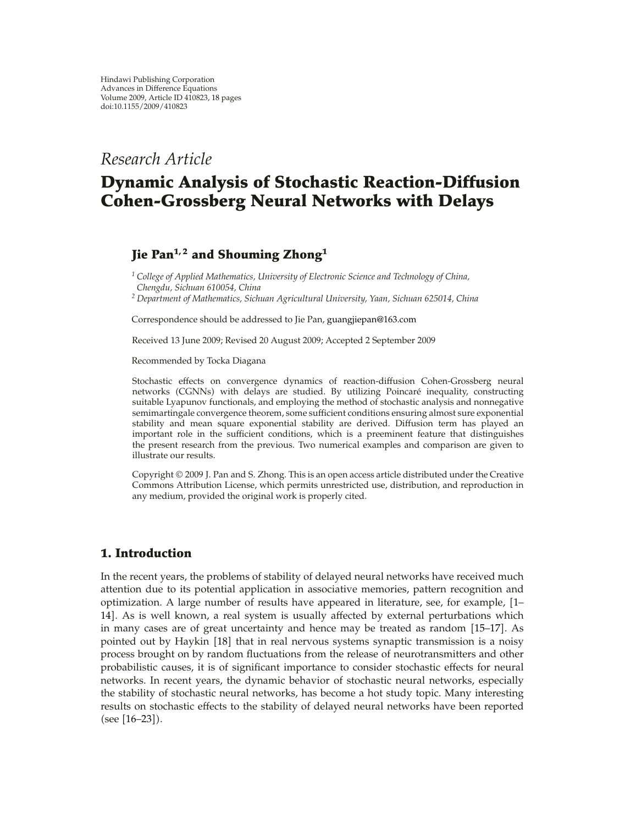# *Research Article*

# **Dynamic Analysis of Stochastic Reaction-Diffusion Cohen-Grossberg Neural Networks with Delays**

## **Jie Pan1, 2 and Shouming Zhong<sup>1</sup>**

*<sup>1</sup> College of Applied Mathematics, University of Electronic Science and Technology of China, Chengdu, Sichuan 610054, China*

*<sup>2</sup> Department of Mathematics, Sichuan Agricultural University, Yaan, Sichuan 625014, China*

Correspondence should be addressed to Jie Pan, guangjiepan@163.com

Received 13 June 2009; Revised 20 August 2009; Accepted 2 September 2009

Recommended by Tocka Diagana

Stochastic effects on convergence dynamics of reaction-diffusion Cohen-Grossberg neural networks (CGNNs) with delays are studied. By utilizing Poincaré inequality, constructing suitable Lyapunov functionals, and employing the method of stochastic analysis and nonnegative semimartingale convergence theorem, some sufficient conditions ensuring almost sure exponential stability and mean square exponential stability are derived. Diffusion term has played an important role in the sufficient conditions, which is a preeminent feature that distinguishes the present research from the previous. Two numerical examples and comparison are given to illustrate our results.

Copyright  $\odot$  2009 J. Pan and S. Zhong. This is an open access article distributed under the Creative Commons Attribution License, which permits unrestricted use, distribution, and reproduction in any medium, provided the original work is properly cited.

### **1. Introduction**

In the recent years, the problems of stability of delayed neural networks have received much attention due to its potential application in associative memories, pattern recognition and optimization. A large number of results have appeared in literature, see, for example, 1– 14]. As is well known, a real system is usually affected by external perturbations which in many cases are of great uncertainty and hence may be treated as random 15–17. As pointed out by Haykin [18] that in real nervous systems synaptic transmission is a noisy process brought on by random fluctuations from the release of neurotransmitters and other probabilistic causes, it is of significant importance to consider stochastic effects for neural networks. In recent years, the dynamic behavior of stochastic neural networks, especially the stability of stochastic neural networks, has become a hot study topic. Many interesting results on stochastic effects to the stability of delayed neural networks have been reported (see [16-23]).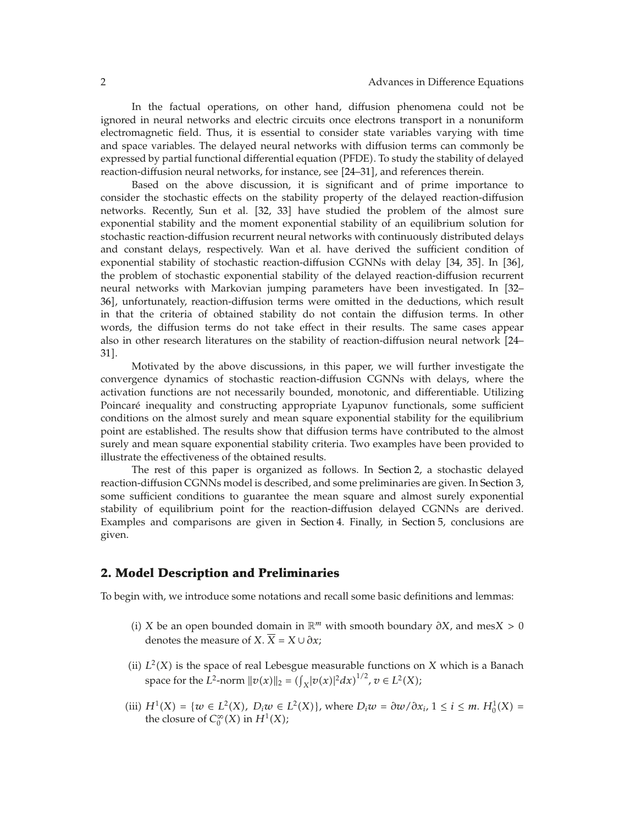In the factual operations, on other hand, diffusion phenomena could not be ignored in neural networks and electric circuits once electrons transport in a nonuniform electromagnetic field. Thus, it is essential to consider state variables varying with time and space variables. The delayed neural networks with diffusion terms can commonly be expressed by partial functional differential equation (PFDE). To study the stability of delayed reaction-diffusion neural networks, for instance, see [24-31], and references therein.

Based on the above discussion, it is significant and of prime importance to consider the stochastic effects on the stability property of the delayed reaction-diffusion networks. Recently, Sun et al. [32, 33] have studied the problem of the almost sure exponential stability and the moment exponential stability of an equilibrium solution for stochastic reaction-diffusion recurrent neural networks with continuously distributed delays and constant delays, respectively. Wan et al. have derived the sufficient condition of exponential stability of stochastic reaction-diffusion CGNNs with delay  $[34, 35]$ . In  $[36]$ , the problem of stochastic exponential stability of the delayed reaction-diffusion recurrent neural networks with Markovian jumping parameters have been investigated. In 32– 36, unfortunately, reaction-diffusion terms were omitted in the deductions, which result in that the criteria of obtained stability do not contain the diffusion terms. In other words, the diffusion terms do not take effect in their results. The same cases appear also in other research literatures on the stability of reaction-diffusion neural network 24– 31.

Motivated by the above discussions, in this paper, we will further investigate the convergence dynamics of stochastic reaction-diffusion CGNNs with delays, where the activation functions are not necessarily bounded, monotonic, and differentiable. Utilizing Poincaré inequality and constructing appropriate Lyapunov functionals, some sufficient conditions on the almost surely and mean square exponential stability for the equilibrium point are established. The results show that diffusion terms have contributed to the almost surely and mean square exponential stability criteria. Two examples have been provided to illustrate the effectiveness of the obtained results.

The rest of this paper is organized as follows. In Section 2, a stochastic delayed reaction-diffusion CGNNs model is described, and some preliminaries are given. In Section 3, some sufficient conditions to guarantee the mean square and almost surely exponential stability of equilibrium point for the reaction-diffusion delayed CGNNs are derived. Examples and comparisons are given in Section 4. Finally, in Section 5, conclusions are given.

### **2. Model Description and Preliminaries**

To begin with, we introduce some notations and recall some basic definitions and lemmas:

- i *X* be an open bounded domain in R*<sup>m</sup>* with smooth boundary *∂X*, and mes*X >* 0 denotes the measure of *X*.  $\overline{X} = X \cup \partial x$ ;
- (ii)  $L^2(X)$  is the space of real Lebesgue measurable functions on *X* which is a Banach space for the *L*<sup>2</sup>-norm  $||v(x)||_2 = (\int_X |v(x)|^2 dx)^{1/2}, v \in L^2(X)$ ;
- $(iii) H<sup>1</sup>(X) = {w ∈ L<sup>2</sup>(X), D<sub>i</sub>w ∈ L<sup>2</sup>(X)}, where D<sub>i</sub>w = ∂w/∂x<sub>i</sub>, 1 ≤ i ≤ m. H<sub>0</sub><sup>1</sup>(X) =$ the closure of  $C_0^{\infty}(X)$  in  $H^1(X)$ ;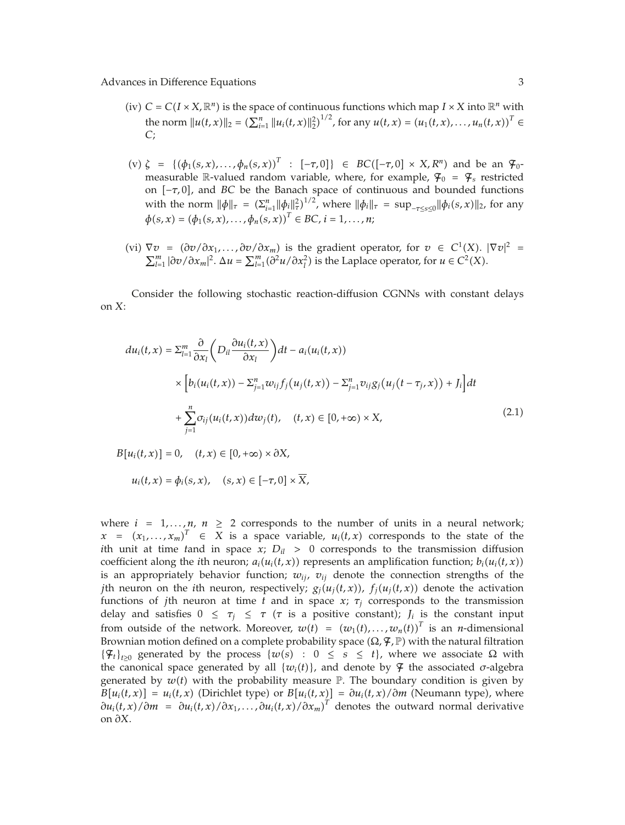- (iv)  $C = C(I \times X, \mathbb{R}^n)$  is the space of continuous functions which map  $I \times X$  into  $\mathbb{R}^n$  with the norm  $||u(t, x)||_2 = \left(\sum_{i=1}^n ||u_i(t, x)||_2^2\right)^{1/2}$ , for any  $u(t, x) = \left(u_1(t, x), \ldots, u_n(t, x)\right)^T \in$ *C*;
- $(v) \zeta = \{ (\phi_1(s, x), \dots, \phi_n(s, x))^{T} : [-\tau, 0] \} \in BC([- \tau, 0] \times X, R^n)$  and be an  $\mathcal{F}_0$ measurable R-valued random variable, where, for example,  $\mathcal{F}_0 = \mathcal{F}_s$  restricted on [-*τ*, 0], and *BC* be the Banach space of continuous and bounded functions with the norm  $\|\phi\|_{\tau} = (\sum_{i=1}^{n} \|\phi_{i}\|_{\tau}^{2})^{1/2}$ , where  $\|\phi_{i}\|_{\tau} = \sup_{-\tau \leq s \leq 0} \|\phi_{i}(s,x)\|_{2}$ , for any  $\phi(s, x) = (\phi_1(s, x), \ldots, \phi_n(s, x))^T \in BC, i = 1, \ldots, n;$
- (vi)  $\nabla v = (\partial v / \partial x_1, ..., \partial v / \partial x_m)$  is the gradient operator, for *v* ∈ *C*<sup>1</sup>(*X*).  $|\nabla v|^2$  =  $\sum_{l=1}^{m} |\partial v / \partial x_m|^2$ .  $\Delta u = \sum_{l=1}^{m} (\partial^2 u / \partial x_l^2)$  is the Laplace operator, for *u* ∈ *C*<sup>2</sup>(*X*).

Consider the following stochastic reaction-diffusion CGNNs with constant delays on *X*:

$$
du_i(t,x) = \sum_{l=1}^m \frac{\partial}{\partial x_l} \left( D_{il} \frac{\partial u_i(t,x)}{\partial x_l} \right) dt - a_i(u_i(t,x))
$$
  
 
$$
\times \left[ b_i(u_i(t,x)) - \sum_{j=1}^n w_{ij} f_j(u_j(t,x)) - \sum_{j=1}^n v_{ij} g_j(u_j(t-\tau_j,x)) + J_i \right] dt
$$
  
 
$$
+ \sum_{j=1}^n \sigma_{ij}(u_i(t,x)) dw_j(t), \quad (t,x) \in [0, +\infty) \times X,
$$
 (2.1)

$$
B[u_i(t,x)] = 0, \quad (t,x) \in [0,+\infty) \times \partial X,
$$

$$
u_i(t,x)=\phi_i(s,x), \quad (s,x)\in[-\tau,0]\times\overline{X},
$$

where  $i = 1,...,n$ ,  $n \ge 2$  corresponds to the number of units in a neural network;  $x = (x_1, \ldots, x_m)^T \in X$  is a space variable,  $u_i(t, x)$  corresponds to the state of the *i*th unit at time *t*and in space  $x$ ;  $D_{il} > 0$  corresponds to the transmission diffusion coefficient along the *i*th neuron;  $a_i(u_i(t, x))$  represents an amplification function;  $b_i(u_i(t, x))$ is an appropriately behavior function;  $w_{ij}$ ,  $v_{ij}$  denote the connection strengths of the *j*th neuron on the *i*th neuron, respectively;  $g_j(u_j(t, x))$ ,  $f_j(u_j(t, x))$  denote the activation functions of *j*th neuron at time *t* and in space *x*;  $\tau_i$  corresponds to the transmission delay and satisfies  $0 \leq \tau_i \leq \tau$  ( $\tau$  is a positive constant);  $J_i$  is the constant input from outside of the network. Moreover,  $w(t) = (w_1(t), \ldots, w_n(t))^T$  is an *n*-dimensional Brownian motion defined on a complete probability space (Ω,  $\mathcal{F}$ ,  $\mathbb{P}$ ) with the natural filtration  ${\mathcal{F}}_t|_{t>0}$  generated by the process  ${w(s) : 0 \le s \le t}$ , where we associate  $\Omega$  with the canonical space generated by all  $\{w_i(t)\}\$ , and denote by  $\mathcal F$  the associated  $\sigma$ -algebra generated by  $w(t)$  with the probability measure  $\mathbb P$ . The boundary condition is given by  $B[u_i(t,x)] = u_i(t,x)$  (Dirichlet type) or  $B[u_i(t,x)] = \partial u_i(t,x)/\partial m$  (Neumann type), where  $\partial u_i(t, x)/\partial m = \partial u_i(t, x)/\partial x_1, \ldots, \partial u_i(t, x)/\partial x_m$ <sup>T</sup> denotes the outward normal derivative on *∂X*.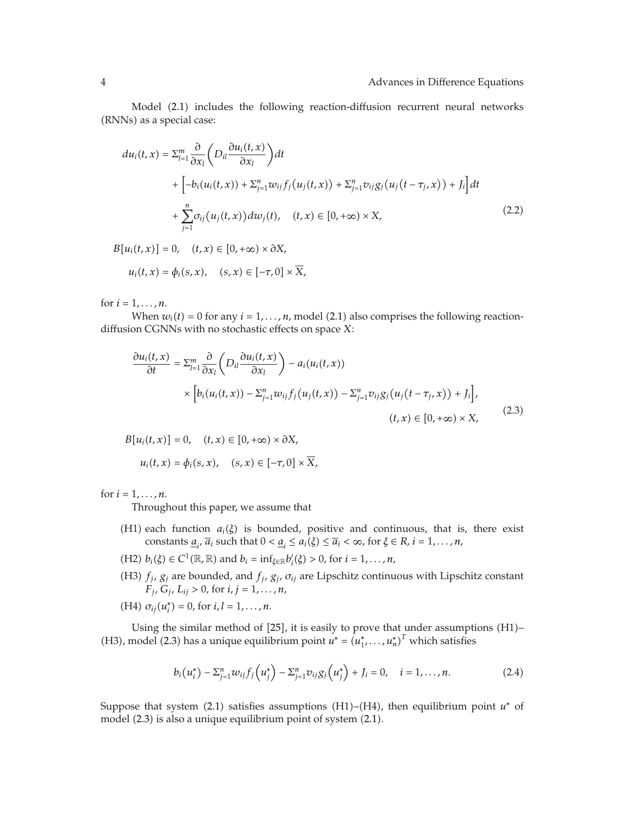Model (2.1) includes the following reaction-diffusion recurrent neural networks (RNNs) as a special case:

$$
du_i(t,x) = \sum_{l=1}^m \frac{\partial}{\partial x_l} \left( D_{il} \frac{\partial u_i(t,x)}{\partial x_l} \right) dt
$$
  
+ 
$$
\left[ -b_i(u_i(t,x)) + \sum_{j=1}^n w_{ij} f_j(u_j(t,x)) + \sum_{j=1}^n v_{ij} g_j(u_j(t-\tau_j,x)) + J_i \right] dt
$$
  
+ 
$$
\sum_{j=1}^n \sigma_{ij}(u_j(t,x)) dw_j(t), \quad (t,x) \in [0, +\infty) \times X,
$$
 (2.2)

 $B[u_i(t, x)] = 0, \quad (t, x) \in [0, +\infty) \times \partial X,$  $u_i(t, x) = \phi_i(s, x), \quad (s, x) \in [-\tau, 0] \times \overline{X},$ 

for  $i = 1, ..., n$ .

When  $w_i(t) = 0$  for any  $i = 1, \ldots, n$ , model (2.1) also comprises the following reactiondiffusion CGNNs with no stochastic effects on space *X*:

$$
\frac{\partial u_i(t, x)}{\partial t} = \sum_{l=1}^m \frac{\partial}{\partial x_l} \left( D_{il} \frac{\partial u_i(t, x)}{\partial x_l} \right) - a_i(u_i(t, x))
$$
\n
$$
\times \left[ b_i(u_i(t, x)) - \sum_{j=1}^n w_{ij} f_j(u_j(t, x)) - \sum_{j=1}^n v_{ij} g_j(u_j(t - \tau_j, x)) + J_i \right],
$$
\n
$$
(t, x) \in [0, +\infty) \times X,
$$
\n(2.3)

$$
B[u_i(t, x)] = 0, \quad (t, x) \in [0, +\infty) \times \partial X,
$$

$$
u_i(t, x) = \phi_i(s, x), \quad (s, x) \in [-\tau, 0] \times \overline{X},
$$

for  $i = 1, ..., n$ .

Throughout this paper, we assume that

- (H1) each function  $a_i(\xi)$  is bounded, positive and continuous, that is, there exist constants  $\underline{a}_{i}$ ,  $\overline{a}_{i}$  such that  $0 < \underline{a}_{i} \le a_{i}(\xi) \le \overline{a}_{i} < \infty$ , for  $\xi \in R$ ,  $i = 1, ..., n$ ,
- $(H2)$   $b_i(\xi) \in C^1(\mathbb{R}, \mathbb{R})$  and  $b_i = \inf_{\xi \in \mathbb{R}} b'_i(\xi) > 0$ , for  $i = 1, ..., n$ ,
- H3 *fj*, *gj* are bounded, and *fj*, *gj*, *σij* are Lipschitz continuous with Lipschitz constant  $F_j$ ,  $G_j$ ,  $L_{ij} > 0$ , for  $i, j = 1, ..., n$ ,
- $(H4) \sigma_{ij}(u_i^*) = 0$ , for  $i, l = 1, ..., n$ .

Using the similar method of  $[25]$ , it is easily to prove that under assumptions  $(H1)$ -(H3), model (2.3) has a unique equilibrium point  $u^* = (u_1^*, \ldots, u_n^*)^T$  which satisfies

$$
b_i(u_i^*) - \sum_{j=1}^n w_{ij} f_j(u_j^*) - \sum_{j=1}^n v_{ij} g_j(u_j^*) + J_i = 0, \quad i = 1, ..., n.
$$
 (2.4)

Suppose that system  $(2.1)$  satisfies assumptions  $(H1)$ – $(H4)$ , then equilibrium point  $u^*$  of model (2.3) is also a unique equilibrium point of system (2.1).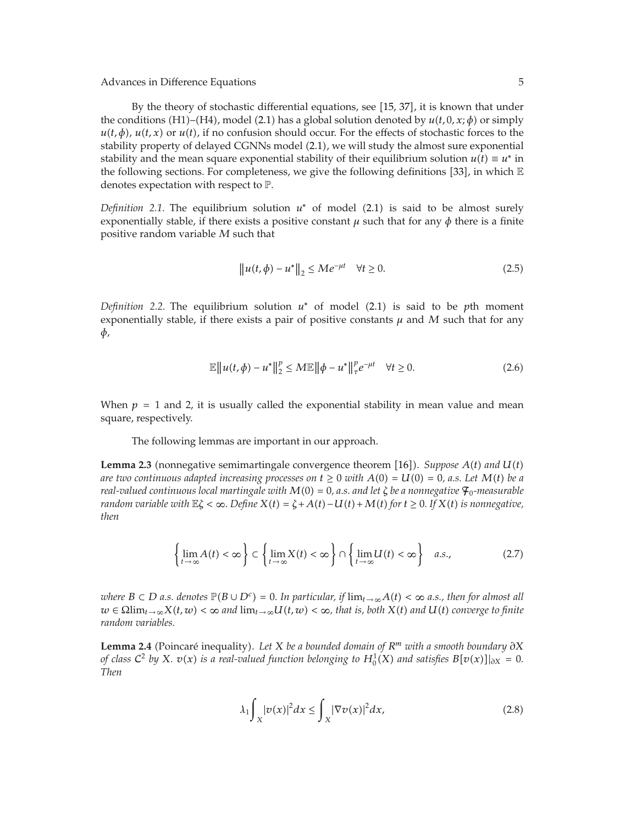By the theory of stochastic differential equations, see [15, 37], it is known that under the conditions (H1)–(H4), model (2.1) has a global solution denoted by  $u(t, 0, x; \phi)$  or simply  $u(t, \phi)$ ,  $u(t, x)$  or  $u(t)$ , if no confusion should occur. For the effects of stochastic forces to the stability property of delayed CGNNs model (2.1), we will study the almost sure exponential stability and the mean square exponential stability of their equilibrium solution  $u(t) \equiv u^*$  in the following sections. For completeness, we give the following definitions [33], in which  $\mathbb E$ denotes expectation with respect to P.

*Definition 2.1.* The equilibrium solution  $u^*$  of model (2.1) is said to be almost surely exponentially stable, if there exists a positive constant  $\mu$  such that for any  $\phi$  there is a finite positive random variable *M* such that

$$
\|u(t,\phi) - u^*\|_2 \le Me^{-\mu t} \quad \forall t \ge 0.
$$
 (2.5)

*Definition 2.2.* The equilibrium solution  $u^*$  of model (2.1) is said to be *p*th moment exponentially stable, if there exists a pair of positive constants  $\mu$  and  $M$  such that for any *φ*,

$$
\mathbb{E} \|u(t,\phi) - u^*\|_2^p \le M \mathbb{E} \|\phi - u^*\|_{\tau}^p e^{-\mu t} \quad \forall t \ge 0.
$$
 (2.6)

When  $p = 1$  and 2, it is usually called the exponential stability in mean value and mean square, respectively.

The following lemmas are important in our approach.

**Lemma 2.3** (nonnegative semimartingale convergence theorem [16]). *Suppose*  $A(t)$  and  $U(t)$ *are two continuous adapted increasing processes on*  $t \ge 0$  *with*  $A(0) = U(0) = 0$ , *a.s.* Let  $M(t)$  be a *real-valued continuous local martingale with*  $M(0) = 0$ , *a.s. and let*  $\zeta$  *be a nonnegative*  $\mathcal{F}_0$ *-measurable random variable with*  $\mathbb{E}\zeta < \infty$ *. Define*  $X(t) = \zeta + A(t) - U(t) + M(t)$  for  $t \ge 0$ *. If*  $X(t)$  *is nonnegative, then*

$$
\left\{\lim_{t\to\infty} A(t) < \infty\right\} \subset \left\{\lim_{t\to\infty} X(t) < \infty\right\} \cap \left\{\lim_{t\to\infty} U(t) < \infty\right\} \quad a.s.,\tag{2.7}
$$

*where*  $B \subset D$  *a.s. denotes*  $\mathbb{P}(B \cup D^c) = 0$ . In particular, if  $\lim_{t \to \infty} A(t) < \infty$  *a.s., then for almost all*  $w \in \Omega$ lim<sub> $t \to \infty$ </sub> $X(t, w) < \infty$  and  $\lim_{t \to \infty} U(t, w) < \infty$ , that is, both  $X(t)$  and  $U(t)$  converge to finite *random variables.*

Lemma 2.4 (Poincaré inequality). Let *X* be a bounded domain of  $R<sup>m</sup>$  with a smooth boundary ∂X *of class*  $C^2$  *by*  $X$ *.*  $v(x)$  *is a real-valued function belonging to*  $H_0^1(X)$  *and satisfies*  $B[v(x)]_{\partial X} = 0$ *. Then*

$$
\lambda_1 \int_X |v(x)|^2 dx \le \int_X |\nabla v(x)|^2 dx, \tag{2.8}
$$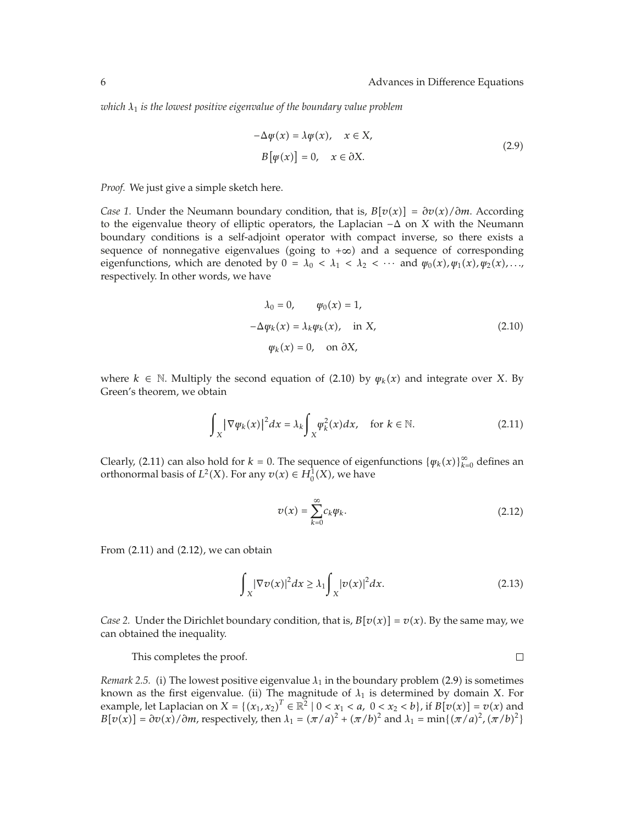*which λ*<sup>1</sup> *is the lowest positive eigenvalue of the boundary value problem*

$$
-\Delta \psi(x) = \lambda \psi(x), \quad x \in X,
$$
  
\n
$$
B[\psi(x)] = 0, \quad x \in \partial X.
$$
\n(2.9)

*Proof.* We just give a simple sketch here.

*Case 1.* Under the Neumann boundary condition, that is,  $B[v(x)] = \frac{\partial v(x)}{\partial m}$ . According to the eigenvalue theory of elliptic operators, the Laplacian −Δ on *X* with the Neumann boundary conditions is a self-adjoint operator with compact inverse, so there exists a sequence of nonnegative eigenvalues (going to  $+\infty$ ) and a sequence of corresponding eigenfunctions, which are denoted by  $0 = \lambda_0 < \lambda_1 < \lambda_2 < \cdots$  and  $\psi_0(x), \psi_1(x), \psi_2(x), \ldots$ respectively. In other words, we have

$$
\lambda_0 = 0, \qquad \psi_0(x) = 1,
$$
  
\n
$$
-\Delta \psi_k(x) = \lambda_k \psi_k(x), \quad \text{in } X,
$$
  
\n
$$
\psi_k(x) = 0, \quad \text{on } \partial X,
$$
\n(2.10)

where  $k \in \mathbb{N}$ . Multiply the second equation of (2.10) by  $\psi_k(x)$  and integrate over *X*. By Green's theorem, we obtain

$$
\int_{X} \left| \nabla \psi_{k}(x) \right|^{2} dx = \lambda_{k} \int_{X} \psi_{k}^{2}(x) dx, \quad \text{for } k \in \mathbb{N}.
$$
 (2.11)

Clearly, (2.11) can also hold for  $k = 0$ . The sequence of eigenfunctions  $\{\psi_k(x)\}_{k=0}^{\infty}$  defines an orthonormal basis of  $L^2(X)$ . For any  $v(x) \in H_0^1(X)$ , we have

$$
v(x) = \sum_{k=0}^{\infty} c_k \varphi_k.
$$
 (2.12)

From  $(2.11)$  and  $(2.12)$ , we can obtain

$$
\int_{X} |\nabla v(x)|^2 dx \ge \lambda_1 \int_{X} |v(x)|^2 dx. \tag{2.13}
$$

*Case 2.* Under the Dirichlet boundary condition, that is,  $B[v(x)] = v(x)$ . By the same may, we can obtained the inequality.

This completes the proof.

 $\Box$ 

*Remark 2.5.* (i) The lowest positive eigenvalue  $\lambda_1$  in the boundary problem (2.9) is sometimes known as the first eigenvalue. (ii) The magnitude of  $\lambda_1$  is determined by domain *X*. For example, let Laplacian on  $X = \{(x_1, x_2)^T \in \mathbb{R}^2 \mid 0 < x_1 < a, 0 < x_2 < b\}$ , if  $B[v(x)] = v(x)$  and  $B[v(x)] = \partial v(x)/\partial m$ , respectively, then  $\lambda_1 = (\pi/a)^2 + (\pi/b)^2$  and  $\lambda_1 = \min\{(\pi/a)^2, (\pi/b)^2\}$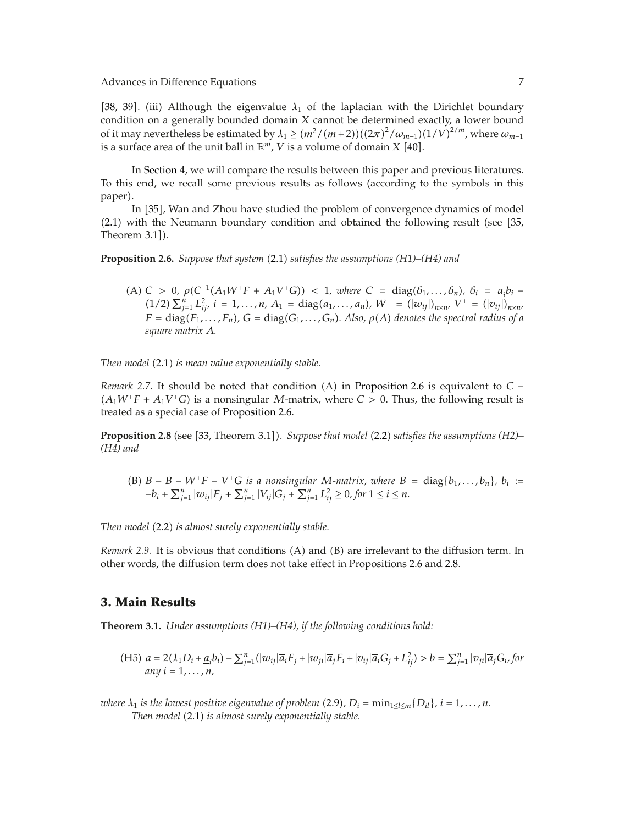[38, 39]. (iii) Although the eigenvalue  $\lambda_1$  of the laplacian with the Dirichlet boundary condition on a generally bounded domain *X* cannot be determined exactly, a lower bound of it may nevertheless be estimated by  $\lambda_1 \geq (m^2/(m+2))((2\pi)^2/\omega_{m-1})(1/V)^{2/m}$ , where  $\omega_{m-1}$ is a surface area of the unit ball in  $\mathbb{R}^m$ , *V* is a volume of domain *X* [40].

In Section 4, we will compare the results between this paper and previous literatures. To this end, we recall some previous results as follows (according to the symbols in this paper).

In [35], Wan and Zhou have studied the problem of convergence dynamics of model  $(2.1)$  with the Neumann boundary condition and obtained the following result (see  $[35,$ Theorem  $3.1$ ]).

**Proposition 2.6.** *Suppose that system* 2.1 *satisfies the assumptions (H1)–(H4) and*

 $(A) C > 0, \rho(C^{-1}(A_1W^+F + A_1V^+G)) < 1, \text{ where } C = \text{diag}(\delta_1, \ldots, \delta_n), \delta_i = \underline{a}_i b_i - \frac{1}{2}$  $(1/2)$   $\sum_{j=1}^{n} L_{ij}^2$ ,  $i = 1, ..., n$ ,  $A_1 = \text{diag}(\overline{a}_1, ..., \overline{a}_n)$ ,  $W^+ = (|w_{ij}|)_{n \times n}$ ,  $V^+ = (|v_{ij}|)_{n \times n}$  $F = \text{diag}(F_1, \ldots, F_n)$ ,  $G = \text{diag}(G_1, \ldots, G_n)$ . Also,  $\rho(A)$  denotes the spectral radius of a *square matrix A.*

*Then model* (2.1) *is mean value exponentially stable.* 

*Remark* 2.7. It should be noted that condition  $(A)$  in Proposition 2.6 is equivalent to  $C (A_1W^+F + A_1V^+G)$  is a nonsingular *M*-matrix, where  $C > 0$ . Thus, the following result is treated as a special case of Proposition 2.6.

**Proposition 2.8** (see [33, Theorem 3.1]). *Suppose that model* (2.2) *satisfies the assumptions (H2)– (H4) and*

(B)  $B - \overline{B} - W^+F - V^+G$  *is a nonsingular M-matrix, where*  $\overline{B} = \text{diag}\{\overline{b}_1, \ldots, \overline{b}_n\}$ ,  $\overline{b}_i :=$  $-b_i + \sum_{j=1}^n |w_{ij}|F_j + \sum_{j=1}^n |V_{ij}|G_j + \sum_{j=1}^n L_{ij}^2 \ge 0$ , for  $1 \le i \le n$ .

*Then model* 2.2 *is almost surely exponentially stable.*

*Remark 2.9.* It is obvious that conditions (A) and (B) are irrelevant to the diffusion term. In other words, the diffusion term does not take effect in Propositions 2.6 and 2.8.

### **3. Main Results**

**Theorem 3.1.** *Under assumptions (H1)–(H4), if the following conditions hold:*

(H5)  $a = 2(\lambda_1 D_i + \underline{a}_i b_i) - \sum_{j=1}^n (|\omega_{ij}|\overline{a}_i F_j + |\omega_{ji}|\overline{a}_j F_i + |v_{ij}|\overline{a}_i G_j + L_{ij}^2) > b = \sum_{j=1}^n |v_{ji}|\overline{a}_j G_i$ , for  $any i = 1, ..., n,$ 

*where*  $\lambda_1$  *is the lowest positive eigenvalue of problem (2.9),*  $D_i = \min_{1 \leq l \leq m} \{D_{il}\}, i = 1, \ldots, n$ *. Then model* 2.1 *is almost surely exponentially stable.*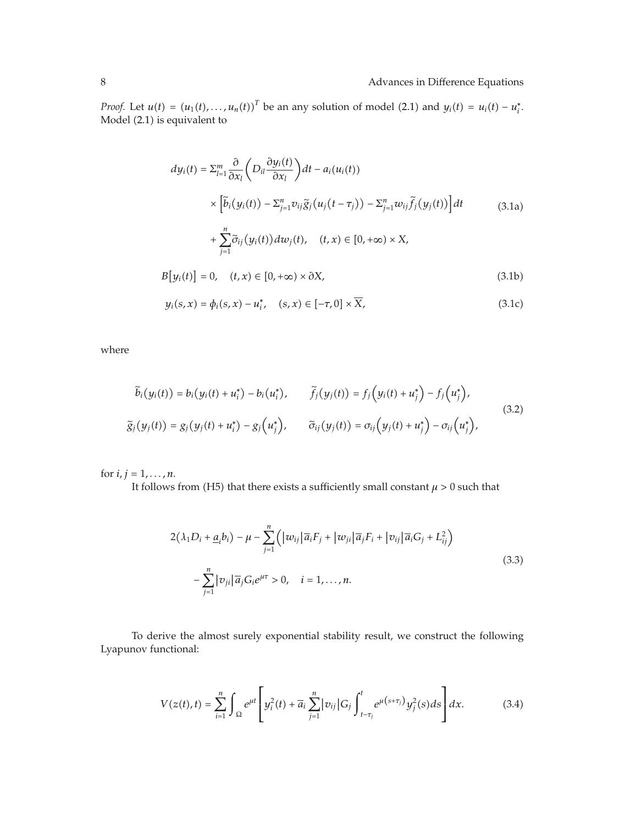*Proof.* Let  $u(t) = (u_1(t), \ldots, u_n(t))^T$  be an any solution of model (2.1) and  $y_i(t) = u_i(t) - u_i^*$ . Model (2.1) is equivalent to

$$
dy_i(t) = \sum_{l=1}^m \frac{\partial}{\partial x_l} \left( D_{il} \frac{\partial y_i(t)}{\partial x_l} \right) dt - a_i(u_i(t))
$$
  
\n
$$
\times \left[ \tilde{b}_i \left( y_i(t) \right) - \sum_{j=1}^n v_{ij} \tilde{g}_j \left( u_j \left( t - \tau_j \right) \right) - \sum_{j=1}^n w_{ij} \tilde{f}_j \left( y_j(t) \right) \right] dt
$$
  
\n
$$
+ \sum_{j=1}^n \tilde{\sigma}_{ij} \left( y_i(t) \right) dw_j(t), \quad (t, x) \in [0, +\infty) \times X,
$$
  
\n
$$
B \left[ y_i(t) \right] = 0, \quad (t, x) \in [0, +\infty) \times \partial X,
$$
  
\n(3.1b)

$$
y_i(s, x) = \phi_i(s, x) - u_i^*, \quad (s, x) \in [-\tau, 0] \times \overline{X}, \tag{3.1c}
$$

where

$$
\widetilde{b}_i(y_i(t)) = b_i(y_i(t) + u_i^*) - b_i(u_i^*), \qquad \widetilde{f}_j(y_j(t)) = f_j(y_i(t) + u_j^*) - f_j(u_j^*),
$$
\n
$$
\widetilde{g}_j(y_j(t)) = g_j(y_j(t) + u_i^*) - g_j(u_j^*), \qquad \widetilde{\sigma}_{ij}(y_j(t)) = \sigma_{ij}(y_j(t) + u_j^*) - \sigma_{ij}(u_j^*),
$$
\n(3.2)

for  $i, j = 1, ..., n$ .

It follows from (H5) that there exists a sufficiently small constant  $\mu>0$  such that

$$
2(\lambda_1 D_i + \underline{a}_i b_i) - \mu - \sum_{j=1}^n \left( |w_{ij}|\overline{a}_i F_j + |w_{ji}|\overline{a}_j F_i + |v_{ij}|\overline{a}_i G_j + L_{ij}^2 \right)
$$
  

$$
- \sum_{j=1}^n |v_{ji}|\overline{a}_j G_i e^{\mu\tau} > 0, \quad i = 1, ..., n.
$$
 (3.3)

To derive the almost surely exponential stability result, we construct the following Lyapunov functional:

$$
V(z(t),t) = \sum_{i=1}^{n} \int_{\Omega} e^{\mu t} \left[ y_i^2(t) + \overline{a}_i \sum_{j=1}^{n} |v_{ij}| G_j \int_{t-\tau_j}^{t} e^{\mu(s+\tau_j)} y_j^2(s) ds \right] dx.
$$
 (3.4)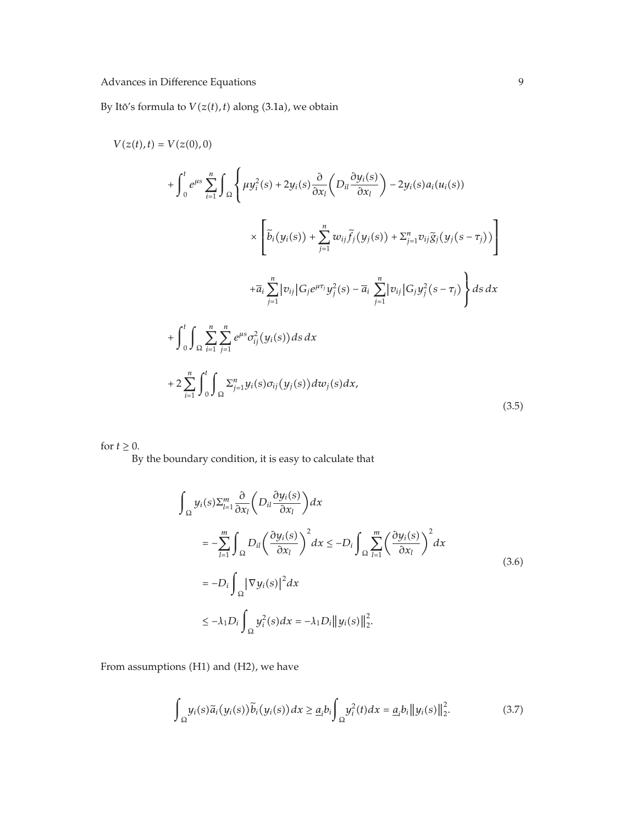By Itô's formula to  $V(z(t), t)$  along (3.1a), we obtain

$$
V(z(t),t) = V(z(0),0)
$$
  
+  $\int_{0}^{t} e^{\mu s} \sum_{i=1}^{n} \int_{\Omega} \left\{ \mu y_{i}^{2}(s) + 2y_{i}(s) \frac{\partial}{\partial x_{i}} \left( D_{ii} \frac{\partial y_{i}(s)}{\partial x_{i}} \right) - 2y_{i}(s) a_{i}(u_{i}(s)) \right\}$   

$$
\times \left[ \tilde{b}_{i}(y_{i}(s)) + \sum_{j=1}^{n} w_{ij} \tilde{f}_{j}(y_{j}(s)) + \sum_{j=1}^{n} v_{ij} \tilde{g}_{j}(y_{j}(s - \tau_{j})) \right]
$$
  
+  $\bar{a}_{i} \sum_{j=1}^{n} |v_{ij}| G_{j} e^{\mu \tau_{j}} y_{j}^{2}(s) - \bar{a}_{i} \sum_{j=1}^{n} |v_{ij}| G_{j} y_{j}^{2}(s - \tau_{j}) \right\} ds dx$   
+  $\int_{0}^{t} \int_{\Omega} \sum_{i=1}^{n} \sum_{j=1}^{n} e^{\mu s} \sigma_{ij}^{2}(y_{i}(s)) ds dx$   
+  $2 \sum_{i=1}^{n} \int_{0}^{t} \int_{\Omega} \sum_{j=1}^{n} y_{i}(s) \sigma_{ij}(y_{j}(s)) dw_{j}(s) dx,$  (3.5)

for  $t \geq 0$ .

By the boundary condition, it is easy to calculate that

$$
\int_{\Omega} y_i(s) \Sigma_{l=1}^m \frac{\partial}{\partial x_l} \left( D_{il} \frac{\partial y_i(s)}{\partial x_l} \right) dx
$$
\n
$$
= -\sum_{l=1}^m \int_{\Omega} D_{il} \left( \frac{\partial y_i(s)}{\partial x_l} \right)^2 dx \le -D_i \int_{\Omega} \sum_{l=1}^m \left( \frac{\partial y_i(s)}{\partial x_l} \right)^2 dx
$$
\n
$$
= -D_i \int_{\Omega} |\nabla y_i(s)|^2 dx
$$
\n
$$
\le -\lambda_1 D_i \int_{\Omega} y_i^2(s) dx = -\lambda_1 D_i ||y_i(s)||_2^2.
$$
\n(3.6)

From assumptions (H1) and (H2), we have

$$
\int_{\Omega} y_i(s)\widetilde{a}_i(y_i(s))\widetilde{b}_i(y_i(s))dx \geq \underline{a}_i b_i \int_{\Omega} y_i^2(t)dx = \underline{a}_i b_i ||y_i(s)||_2^2.
$$
 (3.7)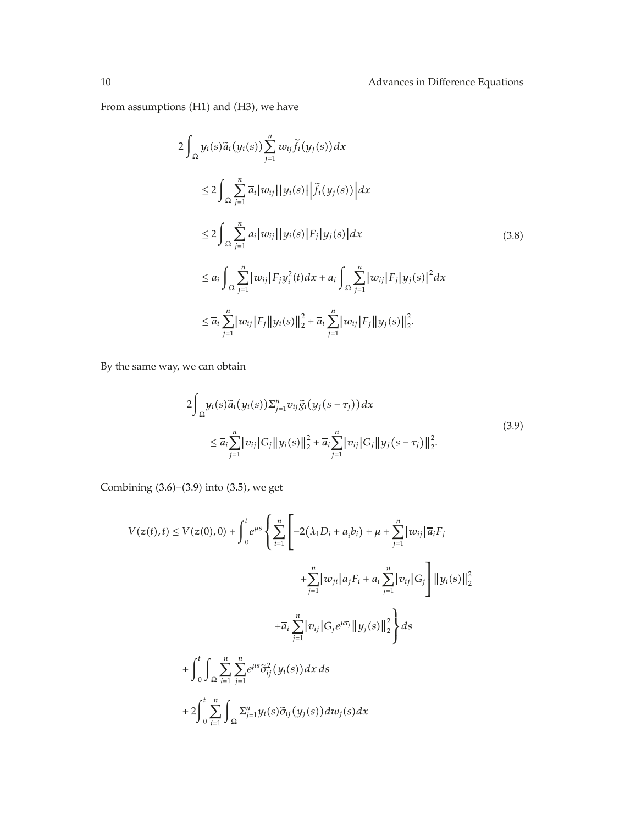From assumptions (H1) and (H3), we have

$$
2\int_{\Omega} y_{i}(s)\tilde{a}_{i}(y_{i}(s))\sum_{j=1}^{n}w_{ij}\tilde{f}_{i}(y_{j}(s))dx
$$
  
\n
$$
\leq 2\int_{\Omega}\sum_{j=1}^{n}\bar{a}_{i}|w_{ij}||y_{i}(s)||\tilde{f}_{i}(y_{j}(s))|dx
$$
  
\n
$$
\leq 2\int_{\Omega}\sum_{j=1}^{n}\bar{a}_{i}|w_{ij}||y_{i}(s)|F_{j}|y_{j}(s)|dx
$$
  
\n
$$
\leq \bar{a}_{i}\int_{\Omega}\sum_{j=1}^{n}|w_{ij}|F_{j}y_{i}^{2}(t)dx + \bar{a}_{i}\int_{\Omega}\sum_{j=1}^{n}|w_{ij}|F_{j}|y_{j}(s)|^{2}dx
$$
  
\n
$$
\leq \bar{a}_{i}\sum_{j=1}^{n}|w_{ij}|F_{j}||y_{i}(s)||_{2}^{2} + \bar{a}_{i}\sum_{j=1}^{n}|w_{ij}|F_{j}||y_{j}(s)||_{2}^{2}.
$$
 (3.8)

By the same way, we can obtain

$$
2\int_{\Omega} y_i(s)\tilde{a}_i(y_i(s))\sum_{j=1}^n v_{ij}\tilde{g}_i(y_j(s-\tau_j))dx
$$
  

$$
\leq \overline{a}_i \sum_{j=1}^n |v_{ij}|G_j ||y_i(s)||_2^2 + \overline{a}_i \sum_{j=1}^n |v_{ij}|G_j ||y_j(s-\tau_j)||_2^2.
$$
 (3.9)

Combining  $(3.6)$ – $(3.9)$  into  $(3.5)$ , we get

$$
V(z(t),t) \le V(z(0),0) + \int_0^t e^{\mu s} \left\{ \sum_{i=1}^n \left[ -2(\lambda_1 D_i + \underline{a}_i b_i) + \mu + \sum_{j=1}^n |w_{ij}| \overline{a}_i F_j \right. \\ \left. + \sum_{j=1}^n |w_{ji}| \overline{a}_j F_i + \overline{a}_i \sum_{j=1}^n |v_{ij}| G_j \right] \|y_i(s)\|_2^2 \right\} + \overline{a}_i \sum_{j=1}^n |v_{ij}| G_j e^{\mu \tau_j} \|y_j(s)\|_2^2 \right\} ds + \int_0^t \int_{\Omega} \sum_{i=1}^n \sum_{j=1}^n e^{\mu s} \widetilde{\sigma}_{ij}^2(y_i(s)) dx ds + 2 \int_0^t \sum_{i=1}^n \int_{\Omega} \sum_{j=1}^n y_i(s) \widetilde{\sigma}_{ij}(y_j(s)) dw_j(s) dx
$$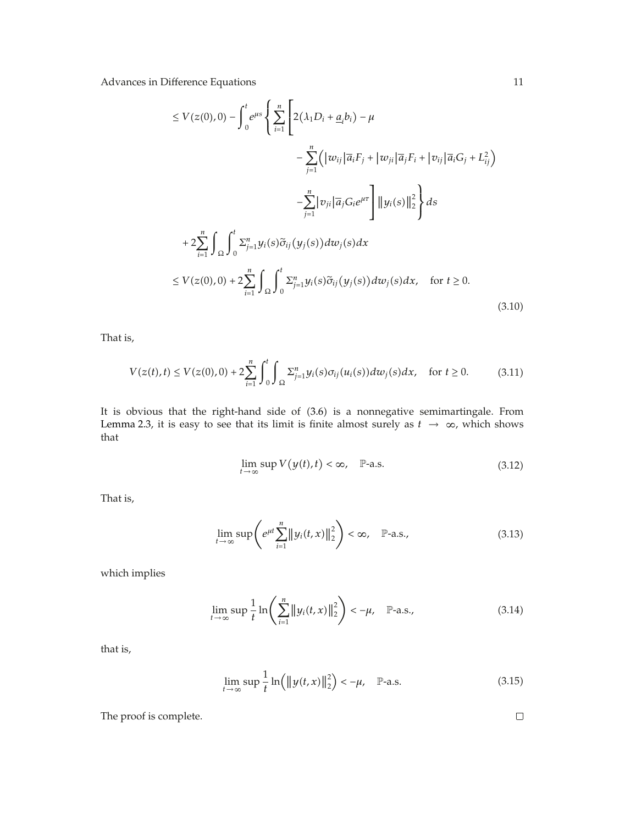$$
\leq V(z(0),0) - \int_{0}^{t} e^{\mu s} \left\{ \sum_{i=1}^{n} \left[ 2(\lambda_{1}D_{i} + \underline{a}_{i}b_{i}) - \mu \right. \\ - \sum_{j=1}^{n} \left( |w_{ij}|\overline{a}_{i}F_{j} + |w_{ji}|\overline{a}_{j}F_{i} + |v_{ij}|\overline{a}_{i}G_{j} + L_{ij}^{2} \right) \right. \\ \left. - \sum_{j=1}^{n} |v_{ji}|\overline{a}_{j}G_{i}e^{\mu\tau} \right] ||y_{i}(s)||_{2}^{2} \right\} ds
$$
  
+ 
$$
2 \sum_{i=1}^{n} \int_{\Omega} \int_{0}^{t} \sum_{j=1}^{n} y_{i}(s) \widetilde{\sigma}_{ij}(y_{j}(s)) dw_{j}(s) dx
$$
  

$$
\leq V(z(0),0) + 2 \sum_{i=1}^{n} \int_{\Omega} \int_{0}^{t} \sum_{j=1}^{n} y_{i}(s) \widetilde{\sigma}_{ij}(y_{j}(s)) dw_{j}(s) dx, \text{ for } t \geq 0.
$$
 (3.10)

That is,

$$
V(z(t),t) \le V(z(0),0) + 2\sum_{i=1}^{n} \int_{0}^{t} \int_{\Omega} \sum_{j=1}^{n} y_{i}(s)\sigma_{ij}(u_{i}(s))dw_{j}(s)dx, \text{ for } t \ge 0.
$$
 (3.11)

It is obvious that the right-hand side of  $(3.6)$  is a nonnegative semimartingale. From Lemma 2.3, it is easy to see that its limit is finite almost surely as  $t \to \infty$ , which shows that

$$
\lim_{t \to \infty} \sup V(y(t), t) < \infty, \quad \mathbb{P}\text{-a.s.} \tag{3.12}
$$

That is,

$$
\lim_{t \to \infty} \sup \left( e^{\mu t} \sum_{i=1}^{n} \left\| y_i(t, x) \right\|_2^2 \right) < \infty, \quad \mathbb{P}\text{-a.s.}, \tag{3.13}
$$

which implies

$$
\lim_{t \to \infty} \sup \frac{1}{t} \ln \left( \sum_{i=1}^{n} \|y_i(t, x)\|_2^2 \right) < -\mu, \quad \mathbb{P}\text{-a.s.},
$$
\n(3.14)

that is,

$$
\lim_{t \to \infty} \sup \frac{1}{t} \ln \left( \|y(t, x)\|_{2}^{2} \right) < -\mu, \quad \mathbb{P}\text{-a.s.} \tag{3.15}
$$

The proof is complete.

 $\Box$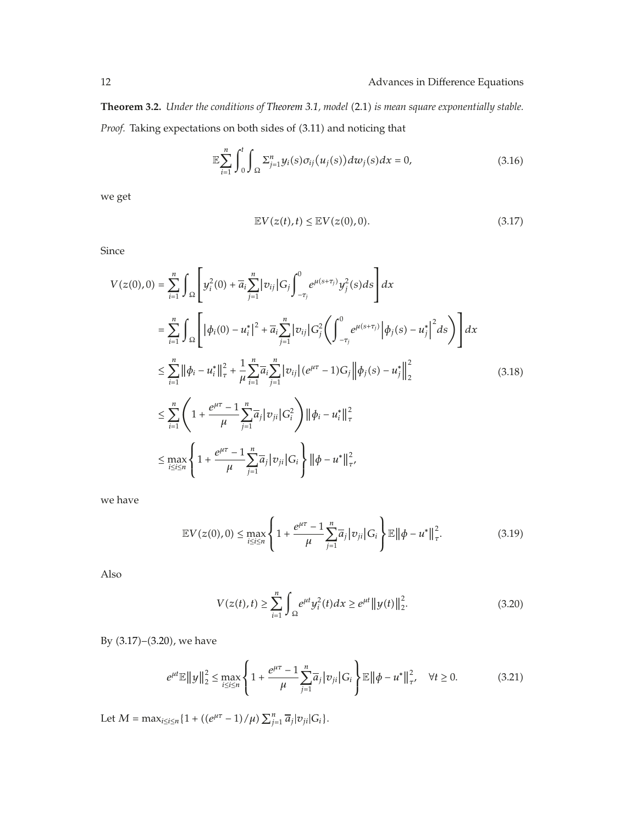**Theorem 3.2.** *Under the conditions of Theorem 3.1, model* (2.1) *is mean square exponentially stable.* Proof. Taking expectations on both sides of (3.11) and noticing that

$$
\mathbb{E}\sum_{i=1}^{n}\int_{0}^{t}\int_{\Omega}\Sigma_{j=1}^{n}y_{i}(s)\sigma_{ij}(u_{j}(s))dw_{j}(s)dx=0,
$$
\n(3.16)

we get

$$
\mathbb{E}V(z(t),t) \le \mathbb{E}V(z(0),0). \tag{3.17}
$$

Since

$$
V(z(0),0) = \sum_{i=1}^{n} \int_{\Omega} \left[ y_i^2(0) + \overline{a}_i \sum_{j=1}^{n} |v_{ij}| G_j \int_{-\tau_j}^{0} e^{\mu(s+\tau_j)} y_j^2(s) ds \right] dx
$$
  
\n
$$
= \sum_{i=1}^{n} \int_{\Omega} \left[ |\phi_i(0) - u_i^*|^2 + \overline{a}_i \sum_{j=1}^{n} |v_{ij}| G_j^2 \left( \int_{-\tau_j}^{0} e^{\mu(s+\tau_j)} |\phi_j(s) - u_j^*|^2 ds \right) \right] dx
$$
  
\n
$$
\leq \sum_{i=1}^{n} ||\phi_i - u_i^*||_{\tau}^2 + \frac{1}{\mu} \sum_{i=1}^{n} \overline{a}_i \sum_{j=1}^{n} |v_{ij}| (e^{\mu\tau} - 1) G_j ||\phi_j(s) - u_j^*||_2^2
$$
  
\n
$$
\leq \sum_{i=1}^{n} \left( 1 + \frac{e^{\mu\tau} - 1}{\mu} \sum_{j=1}^{n} \overline{a}_j |v_{ji}| G_i^2 \right) ||\phi_i - u_i^*||_{\tau}^2
$$
  
\n
$$
\leq \max_{i \leq i \leq n} \left\{ 1 + \frac{e^{\mu\tau} - 1}{\mu} \sum_{j=1}^{n} \overline{a}_j |v_{ji}| G_i \right\} ||\phi - u^*||_{\tau'}^2
$$
 (3.18)

we have

$$
\mathbb{E}V(z(0),0) \le \max_{i \le i \le n} \left\{ 1 + \frac{e^{\mu \tau} - 1}{\mu} \sum_{j=1}^{n} \overline{a}_j |v_{ji}| G_i \right\} \mathbb{E} \left\| \phi - u^* \right\|_{\tau}^2. \tag{3.19}
$$

Also

$$
V(z(t),t) \ge \sum_{i=1}^{n} \int_{\Omega} e^{\mu t} y_i^2(t) dx \ge e^{\mu t} ||y(t)||_2^2.
$$
 (3.20)

By  $(3.17)$ – $(3.20)$ , we have

$$
e^{\mu t} \mathbb{E} \|y\|_{2}^{2} \leq \max_{i \leq i \leq n} \left\{ 1 + \frac{e^{\mu \tau} - 1}{\mu} \sum_{j=1}^{n} \overline{a}_{j} |v_{ji}| G_{i} \right\} \mathbb{E} \| \phi - u^{*} \|_{\tau'}^{2}, \quad \forall t \geq 0.
$$
 (3.21)

Let  $M = \max_{i \le i \le n} \{1 + ((e^{\mu \tau} - 1)/\mu) \sum_{j=1}^{n} \overline{a}_j |v_{ji}| G_i\}.$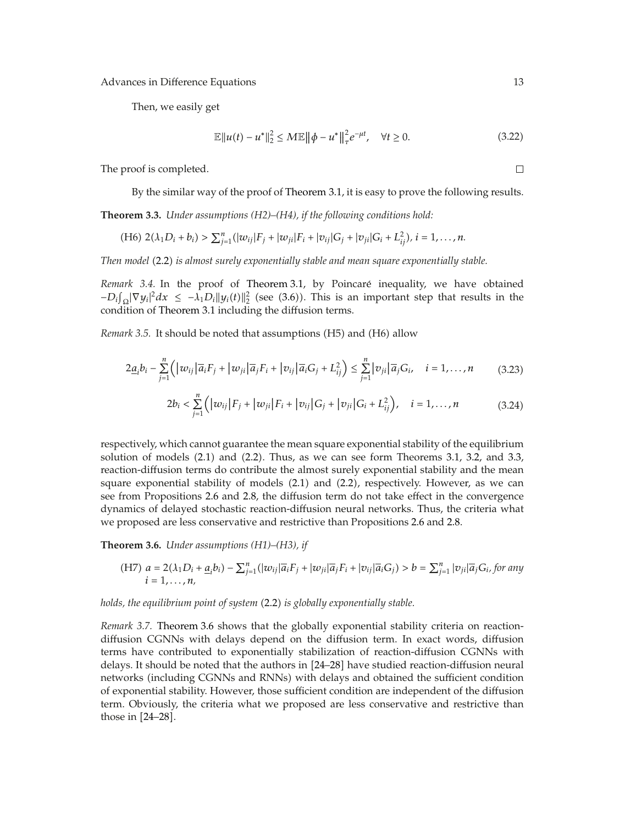Then, we easily get

$$
\mathbb{E} \|u(t) - u^*\|_2^2 \le M \mathbb{E} \|\phi - u^*\|_{\tau}^2 e^{-\mu t}, \quad \forall t \ge 0.
$$
 (3.22)

The proof is completed.

By the similar way of the proof of Theorem 3.1, it is easy to prove the following results.

**Theorem 3.3.** *Under assumptions (H2)–(H4), if the following conditions hold:*

(H6) 
$$
2(\lambda_1 D_i + b_i) > \sum_{j=1}^n (|w_{ij}|F_j + |w_{ji}|F_i + |v_{ij}|G_j + |v_{ji}|G_i + L_{ij}^2), i = 1,...,n.
$$

*Then model* 2.2 *is almost surely exponentially stable and mean square exponentially stable.*

*Remark 3.4.* In the proof of Theorem 3.1, by Poincaré inequality, we have obtained  $-D_i\int_{\Omega} |\nabla y_i|^2 dx$  ≤  $-\lambda_1 D_i ||y_i(t)||_2^2$  (see (3.6)). This is an important step that results in the condition of Theorem 3.1 including the diffusion terms.

*Remark 3.5.* It should be noted that assumptions (H5) and (H6) allow

$$
2\underline{a}_i b_i - \sum_{j=1}^n \left( \left| w_{ij} \right| \overline{a}_i F_j + \left| w_{ji} \right| \overline{a}_j F_i + \left| v_{ij} \right| \overline{a}_i G_j + L_{ij}^2 \right) \leq \sum_{j=1}^n \left| v_{ji} \right| \overline{a}_j G_i, \quad i = 1, \dots, n \tag{3.23}
$$

$$
2b_i < \sum_{j=1}^n \Big( \big| w_{ij} \big| F_j + \big| w_{ji} \big| F_i + \big| v_{ij} \big| G_j + \big| v_{ji} \big| G_i + L_{ij}^2 \Big), \quad i = 1, \dots, n \tag{3.24}
$$

respectively, which cannot guarantee the mean square exponential stability of the equilibrium solution of models  $(2.1)$  and  $(2.2)$ . Thus, as we can see form Theorems 3.1, 3.2, and 3.3, reaction-diffusion terms do contribute the almost surely exponential stability and the mean square exponential stability of models  $(2.1)$  and  $(2.2)$ , respectively. However, as we can see from Propositions 2.6 and 2.8, the diffusion term do not take effect in the convergence dynamics of delayed stochastic reaction-diffusion neural networks. Thus, the criteria what we proposed are less conservative and restrictive than Propositions 2.6 and 2.8.

**Theorem 3.6.** *Under assumptions (H1)–(H3), if*

(H7) 
$$
a = 2(\lambda_1 D_i + \underline{a}_i b_i) - \sum_{j=1}^n (|w_{ij}|\overline{a}_i F_j + |w_{ji}|\overline{a}_j F_i + |v_{ij}|\overline{a}_i G_j) > b = \sum_{j=1}^n |v_{ji}|\overline{a}_j G_i
$$
 for any  $i = 1, ..., n$ ,

#### *holds, the equilibrium point of system* (2.2) *is globally exponentially stable.*

*Remark 3.7.* Theorem 3.6 shows that the globally exponential stability criteria on reactiondiffusion CGNNs with delays depend on the diffusion term. In exact words, diffusion terms have contributed to exponentially stabilization of reaction-diffusion CGNNs with delays. It should be noted that the authors in [24–28] have studied reaction-diffusion neural networks (including CGNNs and RNNs) with delays and obtained the sufficient condition of exponential stability. However, those sufficient condition are independent of the diffusion term. Obviously, the criteria what we proposed are less conservative and restrictive than those in  $[24-28]$ .

 $\Box$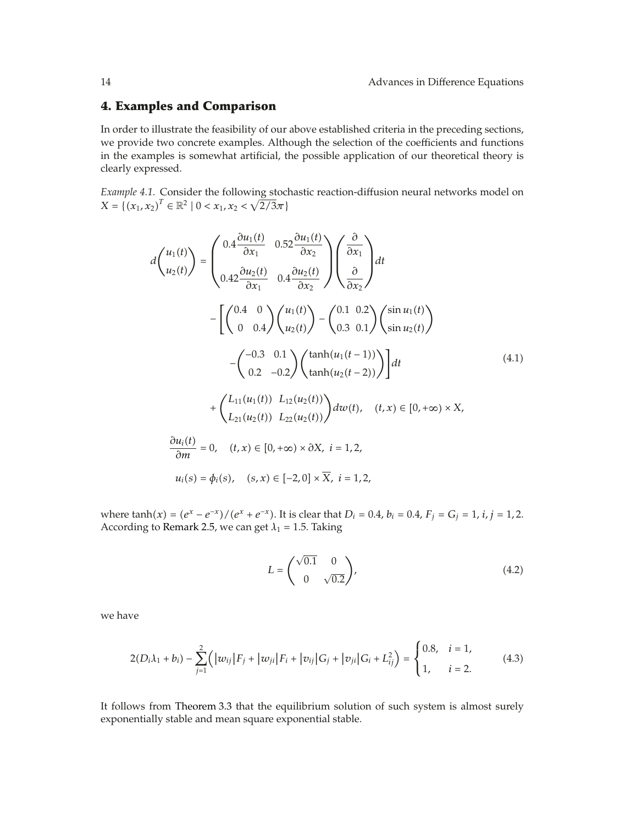### **4. Examples and Comparison**

In order to illustrate the feasibility of our above established criteria in the preceding sections, we provide two concrete examples. Although the selection of the coefficients and functions in the examples is somewhat artificial, the possible application of our theoretical theory is clearly expressed.

*Example 4.1.* Consider the following stochastic reaction-diffusion neural networks model on  $X = \{(x_1, x_2)^T \in \mathbb{R}^2 \mid 0 < x_1, x_2 < \sqrt{2/3}\pi\}$ 

$$
d\begin{pmatrix} u_{1}(t) \\ u_{2}(t) \end{pmatrix} = \begin{pmatrix} 0.4 \frac{\partial u_{1}(t)}{\partial x_{1}} & 0.52 \frac{\partial u_{1}(t)}{\partial x_{2}} \\ 0.42 \frac{\partial u_{2}(t)}{\partial x_{1}} & 0.4 \frac{\partial u_{2}(t)}{\partial x_{2}} \end{pmatrix} \begin{pmatrix} \frac{\partial}{\partial x_{1}} \\ \frac{\partial}{\partial x_{2}} \end{pmatrix} dt
$$

$$
- \begin{bmatrix} \begin{pmatrix} 0.4 & 0 \\ 0 & 0.4 \end{pmatrix} \begin{pmatrix} u_{1}(t) \\ u_{2}(t) \end{pmatrix} - \begin{pmatrix} 0.1 & 0.2 \\ 0.3 & 0.1 \end{pmatrix} \begin{pmatrix} \sin u_{1}(t) \\ \sin u_{2}(t) \end{pmatrix} \\ - \begin{pmatrix} -0.3 & 0.1 \\ 0.2 & -0.2 \end{pmatrix} \begin{pmatrix} \tanh(u_{1}(t-1)) \\ \tanh(u_{2}(t-2)) \end{pmatrix} dt \qquad (4.1)
$$

$$
+ \begin{pmatrix} L_{11}(u_{1}(t)) & L_{12}(u_{2}(t)) \\ L_{21}(u_{2}(t)) & L_{22}(u_{2}(t) \end{pmatrix} dw(t), \quad (t, x) \in [0, +\infty) \times X,
$$

$$
\frac{\partial u_{i}(t)}{\partial m} = 0, \quad (t, x) \in [0, +\infty) \times \partial X, \quad i = 1, 2,
$$

$$
u_{i}(s) = \phi_{i}(s), \quad (s, x) \in [-2, 0] \times \overline{X}, \quad i = 1, 2,
$$

where  $\tanh(x) = (e^x - e^{-x})/(e^x + e^{-x})$ . It is clear that  $D_i = 0.4$ ,  $b_i = 0.4$ ,  $F_j = G_j = 1$ ,  $i, j = 1, 2$ . According to Remark 2.5, we can get  $\lambda_1 = 1.5$ . Taking

$$
L = \begin{pmatrix} \sqrt{0.1} & 0\\ 0 & \sqrt{0.2} \end{pmatrix},\tag{4.2}
$$

we have

$$
2(D_i\lambda_1 + b_i) - \sum_{j=1}^2 (|w_{ij}|F_j + |w_{ji}|F_i + |v_{ij}|G_j + |v_{ji}|G_i + L_{ij}^2) = \begin{cases} 0.8, & i = 1, \\ 1, & i = 2. \end{cases}
$$
(4.3)

It follows from Theorem 3.3 that the equilibrium solution of such system is almost surely exponentially stable and mean square exponential stable.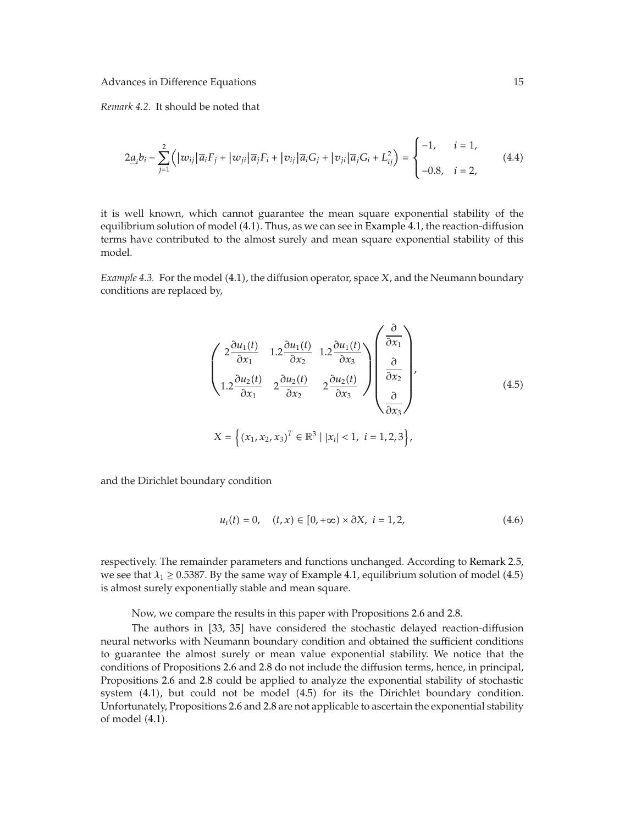*Remark 4.2.* It should be noted that

$$
2\underline{a}_i b_i - \sum_{j=1}^2 \left( |w_{ij}| \overline{a}_i F_j + |w_{ji}| \overline{a}_j F_i + |v_{ij}| \overline{a}_i G_j + |v_{ji}| \overline{a}_j G_i + L_{ij}^2 \right) = \begin{cases} -1, & i = 1, \\ -0.8, & i = 2, \end{cases}
$$
(4.4)

it is well known, which cannot guarantee the mean square exponential stability of the equilibrium solution of model (4.1). Thus, as we can see in Example 4.1, the reaction-diffusion terms have contributed to the almost surely and mean square exponential stability of this model.

*Example 4.3.* For the model (4.1), the diffusion operator, space *X*, and the Neumann boundary conditions are replaced by,

$$
\begin{pmatrix}\n2\frac{\partial u_1(t)}{\partial x_1} & 1.2\frac{\partial u_1(t)}{\partial x_2} & 1.2\frac{\partial u_1(t)}{\partial x_3} \\
1.2\frac{\partial u_2(t)}{\partial x_1} & 2\frac{\partial u_2(t)}{\partial x_2} & 2\frac{\partial u_2(t)}{\partial x_3}\n\end{pmatrix}\n\begin{pmatrix}\n\frac{\partial}{\partial x_1} \\
\frac{\partial}{\partial x_2} \\
\frac{\partial}{\partial x_3}\n\end{pmatrix},
$$
\n
$$
X = \left\{ (x_1, x_2, x_3)^T \in \mathbb{R}^3 \mid |x_i| < 1, \ i = 1, 2, 3 \right\},
$$
\n(4.5)

and the Dirichlet boundary condition

$$
u_i(t) = 0, \quad (t, x) \in [0, +\infty) \times \partial X, \ i = 1, 2,
$$
 (4.6)

respectively. The remainder parameters and functions unchanged. According to Remark 2.5, we see that  $\lambda_1 \geq 0.5387$ . By the same way of Example 4.1, equilibrium solution of model (4.5) is almost surely exponentially stable and mean square.

Now, we compare the results in this paper with Propositions 2.6 and 2.8.

The authors in [33, 35] have considered the stochastic delayed reaction-diffusion neural networks with Neumann boundary condition and obtained the sufficient conditions to guarantee the almost surely or mean value exponential stability. We notice that the conditions of Propositions 2.6 and 2.8 do not include the diffusion terms, hence, in principal, Propositions 2.6 and 2.8 could be applied to analyze the exponential stability of stochastic system  $(4.1)$ , but could not be model  $(4.5)$  for its the Dirichlet boundary condition. Unfortunately, Propositions 2.6 and 2.8 are not applicable to ascertain the exponential stability of model  $(4.1)$ .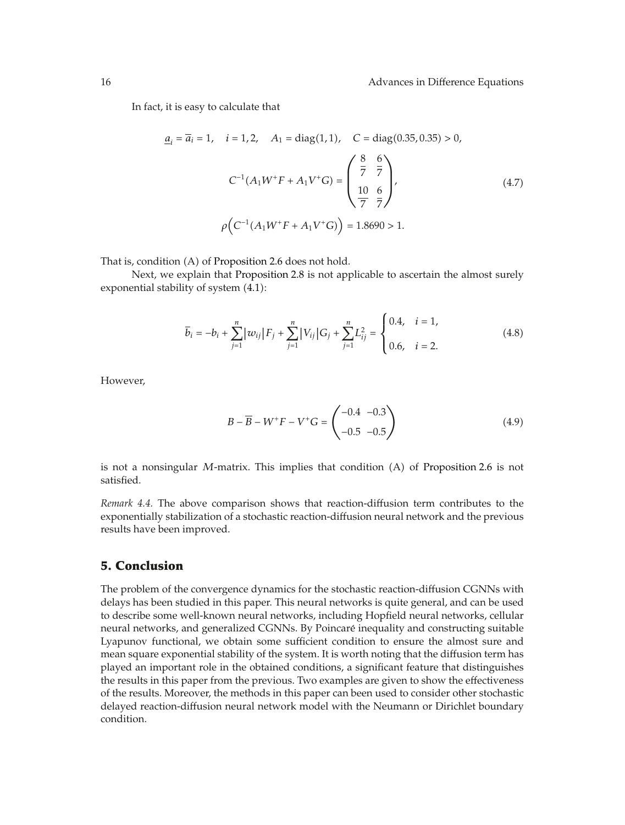In fact, it is easy to calculate that

$$
\underline{a}_{i} = \overline{a}_{i} = 1, \quad i = 1, 2, \quad A_{1} = \text{diag}(1, 1), \quad C = \text{diag}(0.35, 0.35) > 0,
$$
\n
$$
C^{-1}(A_{1}W^{+}F + A_{1}V^{+}G) = \begin{pmatrix} \frac{8}{7} & \frac{6}{7} \\ \frac{10}{7} & \frac{6}{7} \end{pmatrix}, \quad (4.7)
$$
\n
$$
\rho \Big( C^{-1}(A_{1}W^{+}F + A_{1}V^{+}G) \Big) = 1.8690 > 1.
$$

That is, condition (A) of Proposition 2.6 does not hold.

Next, we explain that Proposition 2.8 is not applicable to ascertain the almost surely exponential stability of system  $(4.1)$ :

$$
\overline{b}_{i} = -b_{i} + \sum_{j=1}^{n} |w_{ij}| F_{j} + \sum_{j=1}^{n} |V_{ij}| G_{j} + \sum_{j=1}^{n} L_{ij}^{2} = \begin{cases} 0.4, & i = 1, \\ 0.6, & i = 2. \end{cases}
$$
(4.8)

However,

$$
B - \overline{B} - W^+ F - V^+ G = \begin{pmatrix} -0.4 & -0.3 \\ -0.5 & -0.5 \end{pmatrix}
$$
 (4.9)

is not a nonsingular *M*-matrix. This implies that condition (A) of Proposition 2.6 is not satisfied.

*Remark 4.4.* The above comparison shows that reaction-diffusion term contributes to the exponentially stabilization of a stochastic reaction-diffusion neural network and the previous results have been improved.

### **5. Conclusion**

The problem of the convergence dynamics for the stochastic reaction-diffusion CGNNs with delays has been studied in this paper. This neural networks is quite general, and can be used to describe some well-known neural networks, including Hopfield neural networks, cellular neural networks, and generalized CGNNs. By Poincare inequality and constructing suitable ´ Lyapunov functional, we obtain some sufficient condition to ensure the almost sure and mean square exponential stability of the system. It is worth noting that the diffusion term has played an important role in the obtained conditions, a significant feature that distinguishes the results in this paper from the previous. Two examples are given to show the effectiveness of the results. Moreover, the methods in this paper can been used to consider other stochastic delayed reaction-diffusion neural network model with the Neumann or Dirichlet boundary condition.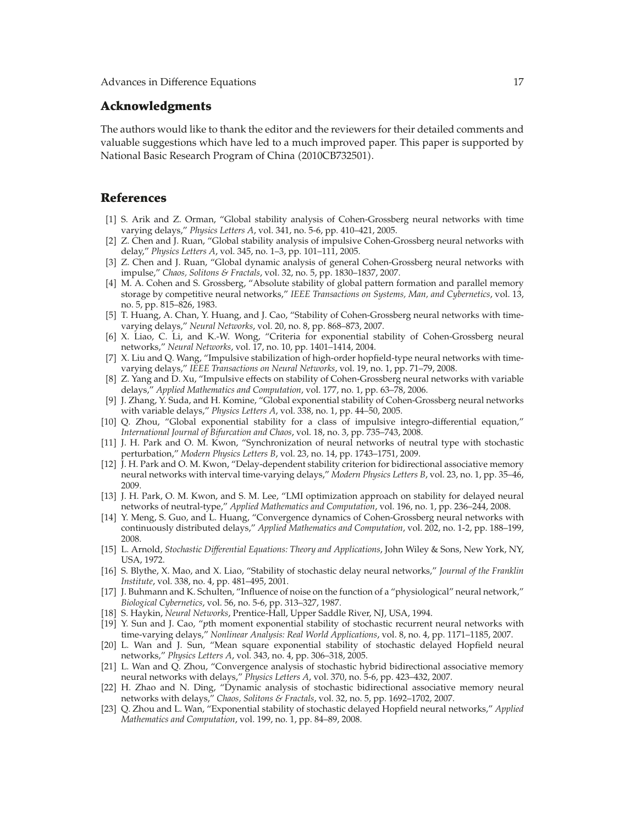#### **Acknowledgments**

The authors would like to thank the editor and the reviewers for their detailed comments and valuable suggestions which have led to a much improved paper. This paper is supported by National Basic Research Program of China 2010CB732501.

### **References**

- 1 S. Arik and Z. Orman, "Global stability analysis of Cohen-Grossberg neural networks with time varying delays," *Physics Letters A*, vol. 341, no. 5-6, pp. 410–421, 2005.
- [2] Z. Chen and J. Ruan, "Global stability analysis of impulsive Cohen-Grossberg neural networks with delay," *Physics Letters A*, vol. 345, no. 1–3, pp. 101–111, 2005.
- [3] Z. Chen and J. Ruan, "Global dynamic analysis of general Cohen-Grossberg neural networks with impulse," *Chaos, Solitons & Fractals*, vol. 32, no. 5, pp. 1830–1837, 2007.
- [4] M. A. Cohen and S. Grossberg, "Absolute stability of global pattern formation and parallel memory storage by competitive neural networks," *IEEE Transactions on Systems, Man, and Cybernetics*, vol. 13, no. 5, pp. 815–826, 1983.
- [5] T. Huang, A. Chan, Y. Huang, and J. Cao, "Stability of Cohen-Grossberg neural networks with timevarying delays," *Neural Networks*, vol. 20, no. 8, pp. 868–873, 2007.
- [6] X. Liao, C. Li, and K.-W. Wong, "Criteria for exponential stability of Cohen-Grossberg neural networks," *Neural Networks*, vol. 17, no. 10, pp. 1401–1414, 2004.
- 7 X. Liu and Q. Wang, "Impulsive stabilization of high-order hopfield-type neural networks with timevarying delays," *IEEE Transactions on Neural Networks*, vol. 19, no. 1, pp. 71–79, 2008.
- [8] Z. Yang and D. Xu, "Impulsive effects on stability of Cohen-Grossberg neural networks with variable delays," *Applied Mathematics and Computation*, vol. 177, no. 1, pp. 63–78, 2006.
- 9 J. Zhang, Y. Suda, and H. Komine, "Global exponential stability of Cohen-Grossberg neural networks with variable delays," *Physics Letters A*, vol. 338, no. 1, pp. 44–50, 2005.
- 10 Q. Zhou, "Global exponential stability for a class of impulsive integro-differential equation," *International Journal of Bifurcation and Chaos*, vol. 18, no. 3, pp. 735–743, 2008.
- 11 J. H. Park and O. M. Kwon, "Synchronization of neural networks of neutral type with stochastic perturbation," *Modern Physics Letters B*, vol. 23, no. 14, pp. 1743–1751, 2009.
- 12 J. H. Park and O. M. Kwon, "Delay-dependent stability criterion for bidirectional associative memory neural networks with interval time-varying delays," *Modern Physics Letters B*, vol. 23, no. 1, pp. 35–46, 2009.
- [13] J. H. Park, O. M. Kwon, and S. M. Lee, "LMI optimization approach on stability for delayed neural networks of neutral-type," *Applied Mathematics and Computation*, vol. 196, no. 1, pp. 236–244, 2008.
- [14] Y. Meng, S. Guo, and L. Huang, "Convergence dynamics of Cohen-Grossberg neural networks with continuously distributed delays," *Applied Mathematics and Computation*, vol. 202, no. 1-2, pp. 188–199, 2008.
- 15 L. Arnold, *Stochastic Differential Equations: Theory and Applications*, John Wiley & Sons, New York, NY, USA, 1972.
- 16 S. Blythe, X. Mao, and X. Liao, "Stability of stochastic delay neural networks," *Journal of the Franklin Institute*, vol. 338, no. 4, pp. 481–495, 2001.
- 17 J. Buhmann and K. Schulten, "Influence of noise on the function of a "physiological" neural network," *Biological Cybernetics*, vol. 56, no. 5-6, pp. 313–327, 1987.
- [18] S. Haykin, *Neural Networks*, Prentice-Hall, Upper Saddle River, NJ, USA, 1994.
- 19 Y. Sun and J. Cao, "*p*th moment exponential stability of stochastic recurrent neural networks with time-varying delays," *Nonlinear Analysis: Real World Applications*, vol. 8, no. 4, pp. 1171–1185, 2007.
- 20 L. Wan and J. Sun, "Mean square exponential stability of stochastic delayed Hopfield neural networks," *Physics Letters A*, vol. 343, no. 4, pp. 306–318, 2005.
- 21 L. Wan and Q. Zhou, "Convergence analysis of stochastic hybrid bidirectional associative memory neural networks with delays," *Physics Letters A*, vol. 370, no. 5-6, pp. 423–432, 2007.
- 22 H. Zhao and N. Ding, "Dynamic analysis of stochastic bidirectional associative memory neural networks with delays," *Chaos, Solitons & Fractals*, vol. 32, no. 5, pp. 1692–1702, 2007.
- 23 Q. Zhou and L. Wan, "Exponential stability of stochastic delayed Hopfield neural networks," *Applied Mathematics and Computation*, vol. 199, no. 1, pp. 84–89, 2008.